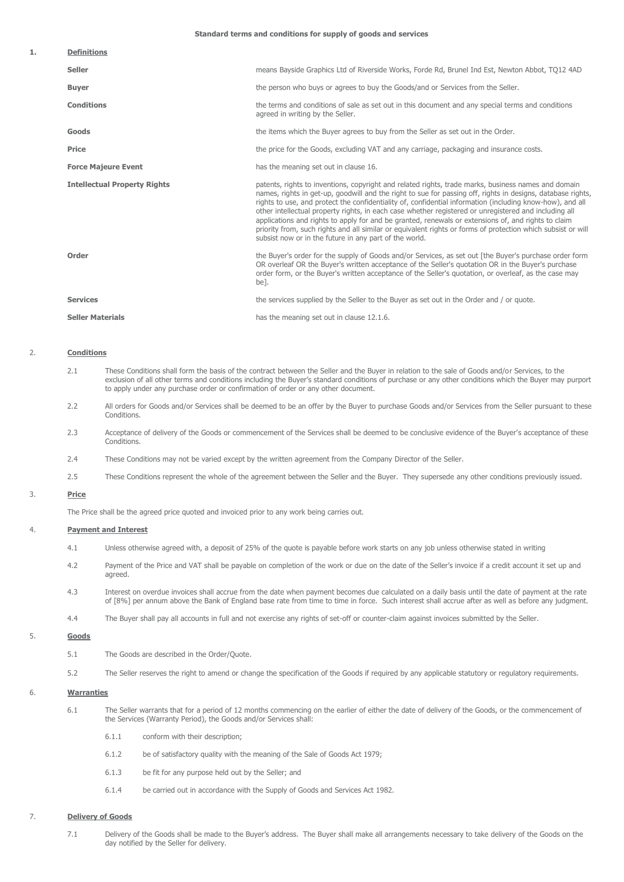**Standard terms and conditions for supply of goods and services**

| 1. | <b>Definitions</b>                  |                                                                                                                                                                                                                                                                                                                                                                                                                                                                                                                                                                                                                                                                                                                           |
|----|-------------------------------------|---------------------------------------------------------------------------------------------------------------------------------------------------------------------------------------------------------------------------------------------------------------------------------------------------------------------------------------------------------------------------------------------------------------------------------------------------------------------------------------------------------------------------------------------------------------------------------------------------------------------------------------------------------------------------------------------------------------------------|
|    | <b>Seller</b>                       | means Bayside Graphics Ltd of Riverside Works, Forde Rd, Brunel Ind Est, Newton Abbot, TO12 4AD                                                                                                                                                                                                                                                                                                                                                                                                                                                                                                                                                                                                                           |
|    | <b>Buyer</b>                        | the person who buys or agrees to buy the Goods/and or Services from the Seller.                                                                                                                                                                                                                                                                                                                                                                                                                                                                                                                                                                                                                                           |
|    | <b>Conditions</b>                   | the terms and conditions of sale as set out in this document and any special terms and conditions<br>agreed in writing by the Seller.                                                                                                                                                                                                                                                                                                                                                                                                                                                                                                                                                                                     |
|    | <b>Goods</b>                        | the items which the Buyer agrees to buy from the Seller as set out in the Order.                                                                                                                                                                                                                                                                                                                                                                                                                                                                                                                                                                                                                                          |
|    | <b>Price</b>                        | the price for the Goods, excluding VAT and any carriage, packaging and insurance costs.                                                                                                                                                                                                                                                                                                                                                                                                                                                                                                                                                                                                                                   |
|    | <b>Force Majeure Event</b>          | has the meaning set out in clause 16.                                                                                                                                                                                                                                                                                                                                                                                                                                                                                                                                                                                                                                                                                     |
|    | <b>Intellectual Property Rights</b> | patents, rights to inventions, copyright and related rights, trade marks, business names and domain<br>names, rights in get-up, goodwill and the right to sue for passing off, rights in designs, database rights,<br>rights to use, and protect the confidentiality of, confidential information (including know-how), and all<br>other intellectual property rights, in each case whether registered or unregistered and including all<br>applications and rights to apply for and be granted, renewals or extensions of, and rights to claim<br>priority from, such rights and all similar or equivalent rights or forms of protection which subsist or will<br>subsist now or in the future in any part of the world. |
|    | Order                               | the Buyer's order for the supply of Goods and/or Services, as set out [the Buyer's purchase order form<br>OR overleaf OR the Buyer's written acceptance of the Seller's quotation OR in the Buyer's purchase<br>order form, or the Buyer's written acceptance of the Seller's quotation, or overleaf, as the case may<br>be].                                                                                                                                                                                                                                                                                                                                                                                             |
|    | <b>Services</b>                     | the services supplied by the Seller to the Buyer as set out in the Order and / or guote.                                                                                                                                                                                                                                                                                                                                                                                                                                                                                                                                                                                                                                  |
|    | <b>Seller Materials</b>             | has the meaning set out in clause 12.1.6.                                                                                                                                                                                                                                                                                                                                                                                                                                                                                                                                                                                                                                                                                 |

#### 2. **Conditions**

- 2.1 These Conditions shall form the basis of the contract between the Seller and the Buyer in relation to the sale of Goods and/or Services, to the exclusion of all other terms and conditions including the Buyer's standard conditions of purchase or any other conditions which the Buyer may purport to apply under any purchase order or confirmation of order or any other document.
- 2.2 All orders for Goods and/or Services shall be deemed to be an offer by the Buyer to purchase Goods and/or Services from the Seller pursuant to these Conditions.
- 2.3 Acceptance of delivery of the Goods or commencement of the Services shall be deemed to be conclusive evidence of the Buyer's acceptance of these Conditions.
- 2.4 These Conditions may not be varied except by the written agreement from the Company Director of the Seller.
- 2.5 These Conditions represent the whole of the agreement between the Seller and the Buyer. They supersede any other conditions previously issued.

### 3. **Price**

The Price shall be the agreed price quoted and invoiced prior to any work being carries out.

#### 4. **Payment and Interest**

- 4.1 Unless otherwise agreed with, a deposit of 25% of the quote is payable before work starts on any job unless otherwise stated in writing
- 4.2 Payment of the Price and VAT shall be payable on completion of the work or due on the date of the Seller's invoice if a credit account it set up and agreed.
- 4.3 Interest on overdue invoices shall accrue from the date when payment becomes due calculated on a daily basis until the date of payment at the rate of [8%] per annum above the Bank of England base rate from time to time in force. Such interest shall accrue after as well as before any judgment.
- 4.4 The Buyer shall pay all accounts in full and not exercise any rights of set-off or counter-claim against invoices submitted by the Seller.

#### 5. **Goods**

- 5.1 The Goods are described in the Order/Quote.
- 5.2 The Seller reserves the right to amend or change the specification of the Goods if required by any applicable statutory or regulatory requirements.

### 6. **Warranties**

- 6.1 The Seller warrants that for a period of 12 months commencing on the earlier of either the date of delivery of the Goods, or the commencement of the Services (Warranty Period), the Goods and/or Services shall:
	- 6.1.1 conform with their description;
	- 6.1.2 be of satisfactory quality with the meaning of the Sale of Goods Act 1979;
	- 6.1.3 be fit for any purpose held out by the Seller; and
	- 6.1.4 be carried out in accordance with the Supply of Goods and Services Act 1982.

#### 7. **Delivery of Goods**

7.1 Delivery of the Goods shall be made to the Buyer's address. The Buyer shall make all arrangements necessary to take delivery of the Goods on the day notified by the Seller for delivery.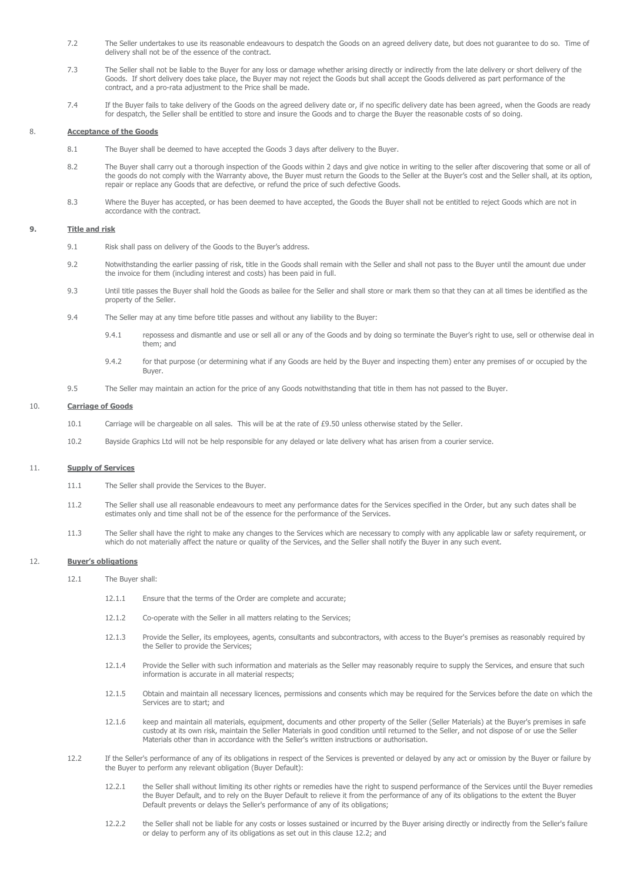- 7.2 The Seller undertakes to use its reasonable endeavours to despatch the Goods on an agreed delivery date, but does not guarantee to do so. Time of delivery shall not be of the essence of the contract.
- 7.3 The Seller shall not be liable to the Buyer for any loss or damage whether arising directly or indirectly from the late delivery or short delivery of the Goods. If short delivery does take place, the Buyer may not reject the Goods but shall accept the Goods delivered as part performance of the contract, and a pro-rata adjustment to the Price shall be made.
- 7.4 If the Buyer fails to take delivery of the Goods on the agreed delivery date or, if no specific delivery date has been agreed, when the Goods are ready for despatch, the Seller shall be entitled to store and insure the Goods and to charge the Buyer the reasonable costs of so doing.

### 8. **Acceptance of the Goods**

- 8.1 The Buyer shall be deemed to have accepted the Goods 3 days after delivery to the Buyer.
- 8.2 The Buyer shall carry out a thorough inspection of the Goods within 2 days and give notice in writing to the seller after discovering that some or all of the goods do not comply with the Warranty above, the Buyer must return the Goods to the Seller at the Buyer's cost and the Seller shall, at its option, repair or replace any Goods that are defective, or refund the price of such defective Goods.
- 8.3 Where the Buyer has accepted, or has been deemed to have accepted, the Goods the Buyer shall not be entitled to reject Goods which are not in accordance with the contract.

# **9. Title and risk**

- 9.1 Risk shall pass on delivery of the Goods to the Buyer's address.
- 9.2 Notwithstanding the earlier passing of risk, title in the Goods shall remain with the Seller and shall not pass to the Buyer until the amount due under the invoice for them (including interest and costs) has been paid in full.
- 9.3 Until title passes the Buyer shall hold the Goods as bailee for the Seller and shall store or mark them so that they can at all times be identified as the property of the Seller.
- 9.4 The Seller may at any time before title passes and without any liability to the Buyer:
	- 9.4.1 repossess and dismantle and use or sell all or any of the Goods and by doing so terminate the Buyer's right to use, sell or otherwise deal in them; and
	- 9.4.2 for that purpose (or determining what if any Goods are held by the Buyer and inspecting them) enter any premises of or occupied by the Buyer.
- 9.5 The Seller may maintain an action for the price of any Goods notwithstanding that title in them has not passed to the Buyer.

# 10. **Carriage of Goods**

- 10.1 Carriage will be chargeable on all sales. This will be at the rate of £9.50 unless otherwise stated by the Seller.
- 10.2 Bayside Graphics Ltd will not be help responsible for any delayed or late delivery what has arisen from a courier service.

#### 11. **Supply of Services**

- 11.1 The Seller shall provide the Services to the Buyer.
- 11.2 The Seller shall use all reasonable endeavours to meet any performance dates for the Services specified in the Order, but any such dates shall be estimates only and time shall not be of the essence for the performance of the Services.
- 11.3 The Seller shall have the right to make any changes to the Services which are necessary to comply with any applicable law or safety requirement, or which do not materially affect the nature or quality of the Services, and the Seller shall notify the Buyer in any such event.

### 12. **Buyer's obligations**

- 12.1 The Buyer shall:
	- 12.1.1 Ensure that the terms of the Order are complete and accurate;
	- 12.1.2 Co-operate with the Seller in all matters relating to the Services;
	- 12.1.3 Provide the Seller, its employees, agents, consultants and subcontractors, with access to the Buyer's premises as reasonably required by the Seller to provide the Services;
	- 12.1.4 Provide the Seller with such information and materials as the Seller may reasonably require to supply the Services, and ensure that such information is accurate in all material respects;
	- 12.1.5 Obtain and maintain all necessary licences, permissions and consents which may be required for the Services before the date on which the Services are to start; and
	- 12.1.6 keep and maintain all materials, equipment, documents and other property of the Seller (Seller Materials) at the Buyer's premises in safe custody at its own risk, maintain the Seller Materials in good condition until returned to the Seller, and not dispose of or use the Seller Materials other than in accordance with the Seller's written instructions or authorisation.
- 12.2 If the Seller's performance of any of its obligations in respect of the Services is prevented or delayed by any act or omission by the Buyer or failure by the Buyer to perform any relevant obligation (Buyer Default):
	- 12.2.1 the Seller shall without limiting its other rights or remedies have the right to suspend performance of the Services until the Buyer remedies the Buyer Default, and to rely on the Buyer Default to relieve it from the performance of any of its obligations to the extent the Buyer Default prevents or delays the Seller's performance of any of its obligations;
	- 12.2.2 the Seller shall not be liable for any costs or losses sustained or incurred by the Buyer arising directly or indirectly from the Seller's failure or delay to perform any of its obligations as set out in this clause 12.2; and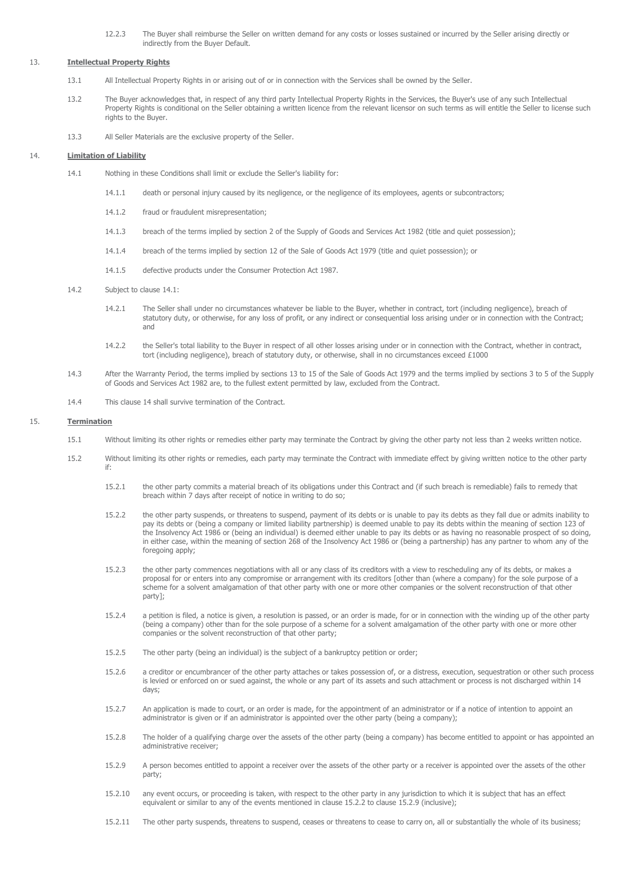12.2.3 The Buyer shall reimburse the Seller on written demand for any costs or losses sustained or incurred by the Seller arising directly or indirectly from the Buyer Default.

# 13. **Intellectual Property Rights**

- 13.1 All Intellectual Property Rights in or arising out of or in connection with the Services shall be owned by the Seller.
- 13.2 The Buyer acknowledges that, in respect of any third party Intellectual Property Rights in the Services, the Buyer's use of any such Intellectual Property Rights is conditional on the Seller obtaining a written licence from the relevant licensor on such terms as will entitle the Seller to license such rights to the Buyer.
- 13.3 All Seller Materials are the exclusive property of the Seller.

#### 14. **Limitation of Liability**

- 14.1 Nothing in these Conditions shall limit or exclude the Seller's liability for:
	- 14.1.1 death or personal injury caused by its negligence, or the negligence of its employees, agents or subcontractors;
	- 14.1.2 fraud or fraudulent misrepresentation;
	- 14.1.3 breach of the terms implied by section 2 of the Supply of Goods and Services Act 1982 (title and quiet possession);
	- 14.1.4 breach of the terms implied by section 12 of the Sale of Goods Act 1979 (title and quiet possession); or
	- 14.1.5 defective products under the Consumer Protection Act 1987.
- 14.2 Subject to clause 14.1:
	- 14.2.1 The Seller shall under no circumstances whatever be liable to the Buyer, whether in contract, tort (including negligence), breach of statutory duty, or otherwise, for any loss of profit, or any indirect or consequential loss arising under or in connection with the Contract; and
	- 14.2.2 the Seller's total liability to the Buyer in respect of all other losses arising under or in connection with the Contract, whether in contract, tort (including negligence), breach of statutory duty, or otherwise, shall in no circumstances exceed £1000
- 14.3 After the Warranty Period, the terms implied by sections 13 to 15 of the Sale of Goods Act 1979 and the terms implied by sections 3 to 5 of the Supply of Goods and Services Act 1982 are, to the fullest extent permitted by law, excluded from the Contract.
- 14.4 This clause 14 shall survive termination of the Contract.

## 15. **Termination**

- 15.1 Without limiting its other rights or remedies either party may terminate the Contract by giving the other party not less than 2 weeks written notice.
- 15.2 Without limiting its other rights or remedies, each party may terminate the Contract with immediate effect by giving written notice to the other party if:
	- 15.2.1 the other party commits a material breach of its obligations under this Contract and (if such breach is remediable) fails to remedy that breach within 7 days after receipt of notice in writing to do so;
	- 15.2.2 the other party suspends, or threatens to suspend, payment of its debts or is unable to pay its debts as they fall due or admits inability to pay its debts or (being a company or limited liability partnership) is deemed unable to pay its debts within the meaning of section 123 of the Insolvency Act 1986 or (being an individual) is deemed either unable to pay its debts or as having no reasonable prospect of so doing, in either case, within the meaning of section 268 of the Insolvency Act 1986 or (being a partnership) has any partner to whom any of the foregoing apply:
	- 15.2.3 the other party commences negotiations with all or any class of its creditors with a view to rescheduling any of its debts, or makes a proposal for or enters into any compromise or arrangement with its creditors [other than (where a company) for the sole purpose of a scheme for a solvent amalgamation of that other party with one or more other companies or the solvent reconstruction of that other party];
	- 15.2.4 a petition is filed, a notice is given, a resolution is passed, or an order is made, for or in connection with the winding up of the other party (being a company) other than for the sole purpose of a scheme for a solvent amalgamation of the other party with one or more other companies or the solvent reconstruction of that other party;
	- 15.2.5 The other party (being an individual) is the subject of a bankruptcy petition or order;
	- 15.2.6 a creditor or encumbrancer of the other party attaches or takes possession of, or a distress, execution, sequestration or other such process is levied or enforced on or sued against, the whole or any part of its assets and such attachment or process is not discharged within 14 days;
	- 15.2.7 An application is made to court, or an order is made, for the appointment of an administrator or if a notice of intention to appoint an administrator is given or if an administrator is appointed over the other party (being a company);
	- 15.2.8 The holder of a qualifying charge over the assets of the other party (being a company) has become entitled to appoint or has appointed an administrative receiver;
	- 15.2.9 A person becomes entitled to appoint a receiver over the assets of the other party or a receiver is appointed over the assets of the other party;
	- 15.2.10 any event occurs, or proceeding is taken, with respect to the other party in any jurisdiction to which it is subject that has an effect equivalent or similar to any of the events mentioned in clause 15.2.2 to clause 15.2.9 (inclusive);
	- 15.2.11 The other party suspends, threatens to suspend, ceases or threatens to cease to carry on, all or substantially the whole of its business;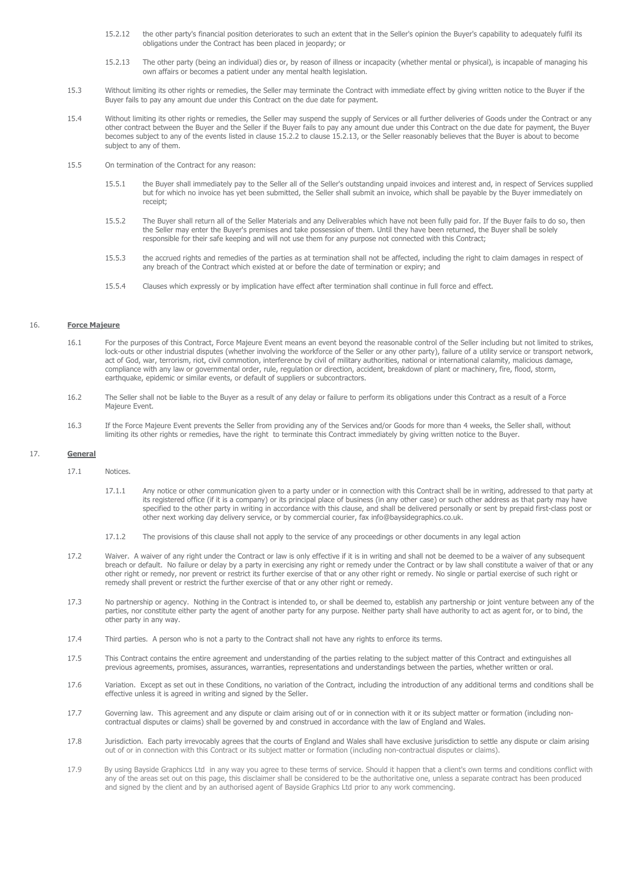- 15.2.12 the other party's financial position deteriorates to such an extent that in the Seller's opinion the Buyer's capability to adequately fulfil its obligations under the Contract has been placed in jeopardy; or
- 15.2.13 The other party (being an individual) dies or, by reason of illness or incapacity (whether mental or physical), is incapable of managing his own affairs or becomes a patient under any mental health legislation.
- 15.3 Without limiting its other rights or remedies, the Seller may terminate the Contract with immediate effect by giving written notice to the Buyer if the Buyer fails to pay any amount due under this Contract on the due date for payment.
- 15.4 Without limiting its other rights or remedies, the Seller may suspend the supply of Services or all further deliveries of Goods under the Contract or any other contract between the Buyer and the Seller if the Buyer fails to pay any amount due under this Contract on the due date for payment, the Buyer becomes subject to any of the events listed in clause 15.2.2 to clause 15.2.13, or the Seller reasonably believes that the Buyer is about to become subject to any of them.
- 15.5 On termination of the Contract for any reason:
	- 15.5.1 the Buyer shall immediately pay to the Seller all of the Seller's outstanding unpaid invoices and interest and, in respect of Services supplied but for which no invoice has yet been submitted, the Seller shall submit an invoice, which shall be payable by the Buyer immediately on receipt;
	- 15.5.2 The Buyer shall return all of the Seller Materials and any Deliverables which have not been fully paid for. If the Buyer fails to do so, then the Seller may enter the Buyer's premises and take possession of them. Until they have been returned, the Buyer shall be solely responsible for their safe keeping and will not use them for any purpose not connected with this Contract;
	- 15.5.3 the accrued rights and remedies of the parties as at termination shall not be affected, including the right to claim damages in respect of any breach of the Contract which existed at or before the date of termination or expiry; and
	- 15.5.4 Clauses which expressly or by implication have effect after termination shall continue in full force and effect.

## 16. **Force Majeure**

- 16.1 For the purposes of this Contract, Force Majeure Event means an event beyond the reasonable control of the Seller including but not limited to strikes, lock-outs or other industrial disputes (whether involving the workforce of the Seller or any other party), failure of a utility service or transport network, act of God, war, terrorism, riot, civil commotion, interference by civil of military authorities, national or international calamity, malicious damage, compliance with any law or governmental order, rule, regulation or direction, accident, breakdown of plant or machinery, fire, flood, storm, earthquake, epidemic or similar events, or default of suppliers or subcontractors.
- 16.2 The Seller shall not be liable to the Buyer as a result of any delay or failure to perform its obligations under this Contract as a result of a Force Majeure Event.
- 16.3 If the Force Majeure Event prevents the Seller from providing any of the Services and/or Goods for more than 4 weeks, the Seller shall, without limiting its other rights or remedies, have the right to terminate this Contract immediately by giving written notice to the Buyer.

## 17. **General**

17.1 Notices.

- 17.1.1 Any notice or other communication given to a party under or in connection with this Contract shall be in writing, addressed to that party at its registered office (if it is a company) or its principal place of business (in any other case) or such other address as that party may have specified to the other party in writing in accordance with this clause, and shall be delivered personally or sent by prepaid first-class post or other next working day delivery service, or by commercial courier, fax info@baysidegraphics.co.uk.
- 17.1.2 The provisions of this clause shall not apply to the service of any proceedings or other documents in any legal action
- 17.2 Waiver. A waiver of any right under the Contract or law is only effective if it is in writing and shall not be deemed to be a waiver of any subsequent breach or default. No failure or delay by a party in exercising any right or remedy under the Contract or by law shall constitute a waiver of that or any other right or remedy, nor prevent or restrict its further exercise of that or any other right or remedy. No single or partial exercise of such right or remedy shall prevent or restrict the further exercise of that or any other right or remedy.
- 17.3 No partnership or agency. Nothing in the Contract is intended to, or shall be deemed to, establish any partnership or joint venture between any of the parties, nor constitute either party the agent of another party for any purpose. Neither party shall have authority to act as agent for, or to bind, the other party in any way.
- 17.4 Third parties. A person who is not a party to the Contract shall not have any rights to enforce its terms.
- 17.5 This Contract contains the entire agreement and understanding of the parties relating to the subject matter of this Contract and extinguishes all previous agreements, promises, assurances, warranties, representations and understandings between the parties, whether written or oral.
- 17.6 Variation. Except as set out in these Conditions, no variation of the Contract, including the introduction of any additional terms and conditions shall be effective unless it is agreed in writing and signed by the Seller.
- 17.7 Governing law. This agreement and any dispute or claim arising out of or in connection with it or its subject matter or formation (including noncontractual disputes or claims) shall be governed by and construed in accordance with the law of England and Wales.
- 17.8 Jurisdiction. Each party irrevocably agrees that the courts of England and Wales shall have exclusive jurisdiction to settle any dispute or claim arising out of or in connection with this Contract or its subject matter or formation (including non-contractual disputes or claims).
- 17.9 By using Bayside Graphiccs Ltd in any way you agree to these terms of service. Should it happen that a client's own terms and conditions conflict with any of the areas set out on this page, this disclaimer shall be considered to be the authoritative one, unless a separate contract has been produced and signed by the client and by an authorised agent of Bayside Graphics Ltd prior to any work commencing.